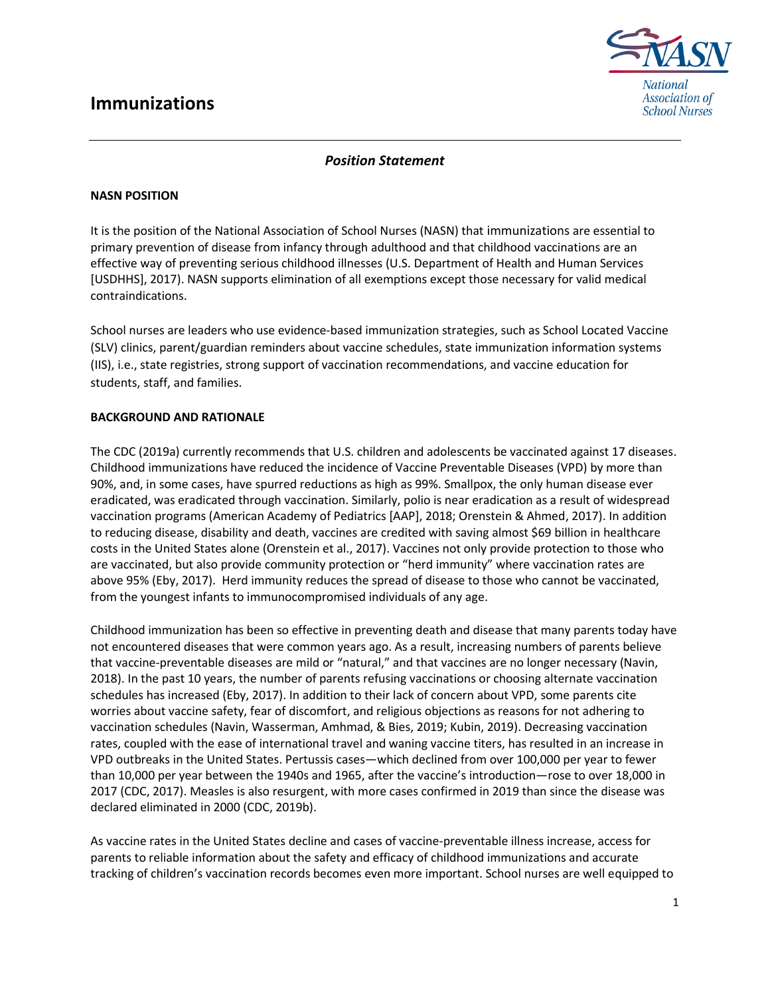# **Immunizations**



## *Position Statement*

#### **NASN POSITION**

It is the position of the National Association of School Nurses (NASN) that immunizations are essential to primary prevention of disease from infancy through adulthood and that childhood vaccinations are an effective way of preventing serious childhood illnesses (U.S. Department of Health and Human Services [USDHHS], 2017). NASN supports elimination of all exemptions except those necessary for valid medical contraindications.

School nurses are leaders who use evidence-based immunization strategies, such as School Located Vaccine (SLV) clinics, parent/guardian reminders about vaccine schedules, state immunization information systems (IIS), i.e., state registries, strong support of vaccination recommendations, and vaccine education for students, staff, and families.

#### **BACKGROUND AND RATIONALE**

The CDC (2019a) currently recommends that U.S. children and adolescents be vaccinated against 17 diseases. Childhood immunizations have reduced the incidence of Vaccine Preventable Diseases (VPD) by more than 90%, and, in some cases, have spurred reductions as high as 99%. Smallpox, the only human disease ever eradicated, was eradicated through vaccination. Similarly, polio is near eradication as a result of widespread vaccination programs (American Academy of Pediatrics [AAP], 2018; Orenstein & Ahmed, 2017). In addition to reducing disease, disability and death, vaccines are credited with saving almost \$69 billion in healthcare costs in the United States alone (Orenstein et al., 2017). Vaccines not only provide protection to those who are vaccinated, but also provide community protection or "herd immunity" where vaccination rates are above 95% (Eby, 2017). Herd immunity reduces the spread of disease to those who cannot be vaccinated, from the youngest infants to immunocompromised individuals of any age.

Childhood immunization has been so effective in preventing death and disease that many parents today have not encountered diseases that were common years ago. As a result, increasing numbers of parents believe that vaccine-preventable diseases are mild or "natural," and that vaccines are no longer necessary (Navin, 2018). In the past 10 years, the number of parents refusing vaccinations or choosing alternate vaccination schedules has increased (Eby, 2017). In addition to their lack of concern about VPD, some parents cite worries about vaccine safety, fear of discomfort, and religious objections as reasons for not adhering to vaccination schedules (Navin, Wasserman, Amhmad, & Bies, 2019; Kubin, 2019). Decreasing vaccination rates, coupled with the ease of international travel and waning vaccine titers, has resulted in an increase in VPD outbreaks in the United States. Pertussis cases—which declined from over 100,000 per year to fewer than 10,000 per year between the 1940s and 1965, after the vaccine's introduction—rose to over 18,000 in 2017 (CDC, 2017). Measles is also resurgent, with more cases confirmed in 2019 than since the disease was declared eliminated in 2000 (CDC, 2019b).

As vaccine rates in the United States decline and cases of vaccine-preventable illness increase, access for parents to reliable information about the safety and efficacy of childhood immunizations and accurate tracking of children's vaccination records becomes even more important. School nurses are well equipped to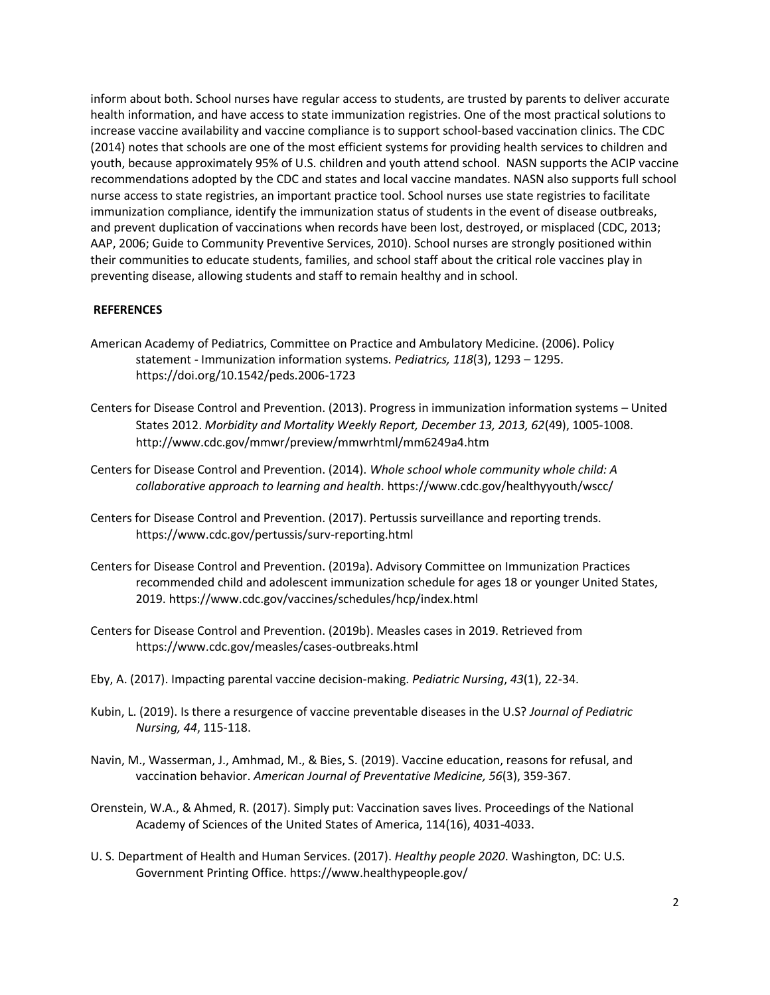inform about both. School nurses have regular access to students, are trusted by parents to deliver accurate health information, and have access to state immunization registries. One of the most practical solutions to increase vaccine availability and vaccine compliance is to support school-based vaccination clinics. The CDC (2014) notes that schools are one of the most efficient systems for providing health services to children and youth, because approximately 95% of U.S. children and youth attend school. NASN supports the ACIP vaccine recommendations adopted by the CDC and states and local vaccine mandates. NASN also supports full school nurse access to state registries, an important practice tool. School nurses use state registries to facilitate immunization compliance, identify the immunization status of students in the event of disease outbreaks, and prevent duplication of vaccinations when records have been lost, destroyed, or misplaced (CDC, 2013; AAP, 2006; Guide to Community Preventive Services, 2010). School nurses are strongly positioned within their communities to educate students, families, and school staff about the critical role vaccines play in preventing disease, allowing students and staff to remain healthy and in school.

### **REFERENCES**

- American Academy of Pediatrics, Committee on Practice and Ambulatory Medicine. (2006). Policy statement - Immunization information systems. *Pediatrics, 118*(3), 1293 – 1295. https://doi.org/10.1542/peds.2006-1723
- Centers for Disease Control and Prevention. (2013). Progress in immunization information systems United States 2012. *Morbidity and Mortality Weekly Report, December 13, 2013, 62*(49), 1005-1008. http://www.cdc.gov/mmwr/preview/mmwrhtml/mm6249a4.htm
- Centers for Disease Control and Prevention. (2014). *Whole school whole community whole child: A collaborative approach to learning and health*. https://www.cdc.gov/healthyyouth/wscc/
- Centers for Disease Control and Prevention. (2017). Pertussis surveillance and reporting trends. https://www.cdc.gov/pertussis/surv-reporting.html
- Centers for Disease Control and Prevention. (2019a). Advisory Committee on Immunization Practices recommended child and adolescent immunization schedule for ages 18 or younger United States, 2019. https://www.cdc.gov/vaccines/schedules/hcp/index.html
- Centers for Disease Control and Prevention. (2019b). Measles cases in 2019. Retrieved from https://www.cdc.gov/measles/cases-outbreaks.html
- Eby, A. (2017). Impacting parental vaccine decision-making. *Pediatric Nursing*, *43*(1), 22-34.
- Kubin, L. (2019). Is there a resurgence of vaccine preventable diseases in the U.S? *Journal of Pediatric Nursing, 44*, 115-118.
- Navin, M., Wasserman, J., Amhmad, M., & Bies, S. (2019). Vaccine education, reasons for refusal, and vaccination behavior. *American Journal of Preventative Medicine, 56*(3), 359-367.
- Orenstein, W.A., & Ahmed, R. (2017). Simply put: Vaccination saves lives. Proceedings of the National Academy of Sciences of the United States of America, 114(16), 4031-4033.
- U. S. Department of Health and Human Services. (2017). *Healthy people 2020*. Washington, DC: U.S. Government Printing Office. https://www.healthypeople.gov/